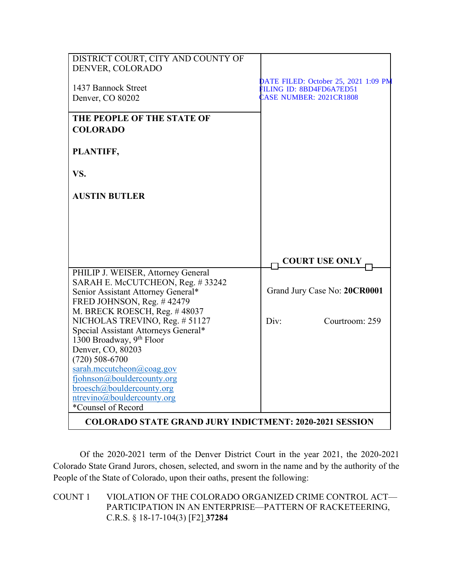| DISTRICT COURT, CITY AND COUNTY OF<br>DENVER, COLORADO                       |                                      |
|------------------------------------------------------------------------------|--------------------------------------|
|                                                                              | DATE FILED: October 25, 2021 1:09 PM |
| 1437 Bannock Street                                                          | FILING ID: 8BD4FD6A7ED51             |
| Denver, CO 80202                                                             | <b>CASE NUMBER: 2021CR1808</b>       |
| THE PEOPLE OF THE STATE OF                                                   |                                      |
| <b>COLORADO</b>                                                              |                                      |
| PLANTIFF,                                                                    |                                      |
| VS.                                                                          |                                      |
| <b>AUSTIN BUTLER</b>                                                         |                                      |
|                                                                              |                                      |
|                                                                              |                                      |
|                                                                              | <b>COURT USE ONLY</b>                |
| PHILIP J. WEISER, Attorney General                                           |                                      |
| SARAH E. McCUTCHEON, Reg. #33242<br>Senior Assistant Attorney General*       | Grand Jury Case No: 20CR0001         |
| FRED JOHNSON, Reg. #42479                                                    |                                      |
| M. BRECK ROESCH, Reg. #48037                                                 |                                      |
| NICHOLAS TREVINO, Reg. # 51127                                               | Div:<br>Courtroom: 259               |
| Special Assistant Attorneys General*<br>1300 Broadway, 9 <sup>th</sup> Floor |                                      |
| Denver, CO, 80203                                                            |                                      |
| $(720)$ 508-6700                                                             |                                      |
| sarah.mccutcheon@coag.gov                                                    |                                      |
| fjohnson@bouldercounty.org                                                   |                                      |
| broesch@bouldercounty.org                                                    |                                      |
| ntrevino@bouldercounty.org<br>*Counsel of Record                             |                                      |
|                                                                              |                                      |
| <b>COLORADO STATE GRAND JURY INDICTMENT: 2020-2021 SESSION</b>               |                                      |

Of the 2020-2021 term of the Denver District Court in the year 2021, the 2020-2021 Colorado State Grand Jurors, chosen, selected, and sworn in the name and by the authority of the People of the State of Colorado, upon their oaths, present the following:

COUNT 1 VIOLATION OF THE COLORADO ORGANIZED CRIME CONTROL ACT— PARTICIPATION IN AN ENTERPRISE—PATTERN OF RACKETEERING, C.R.S. § 18-17-104(3) [F2] **37284**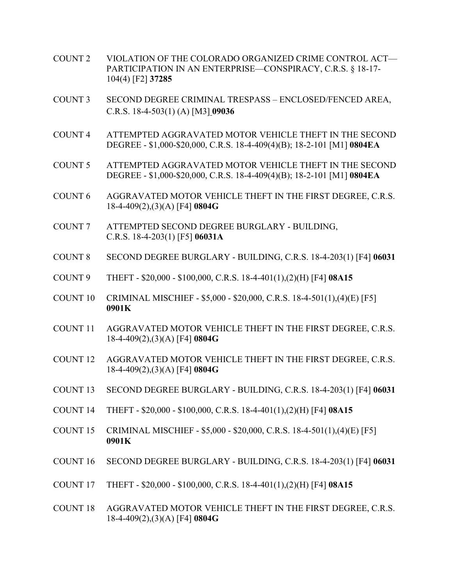- COUNT 2 VIOLATION OF THE COLORADO ORGANIZED CRIME CONTROL ACT— PARTICIPATION IN AN ENTERPRISE—CONSPIRACY, C.R.S. § 18-17- 104(4) [F2] **37285**
- COUNT 3 SECOND DEGREE CRIMINAL TRESPASS ENCLOSED/FENCED AREA, C.R.S. 18-4-503(1) (A) [M3] **09036**
- COUNT 4 ATTEMPTED AGGRAVATED MOTOR VEHICLE THEFT IN THE SECOND DEGREE - \$1,000-\$20,000, C.R.S. 18-4-409(4)(B); 18-2-101 [M1] **0804EA**
- COUNT 5 ATTEMPTED AGGRAVATED MOTOR VEHICLE THEFT IN THE SECOND DEGREE - \$1,000-\$20,000, C.R.S. 18-4-409(4)(B); 18-2-101 [M1] **0804EA**
- COUNT 6 AGGRAVATED MOTOR VEHICLE THEFT IN THE FIRST DEGREE, C.R.S. 18-4-409(2),(3)(A) [F4] **0804G**
- COUNT 7 ATTEMPTED SECOND DEGREE BURGLARY BUILDING, C.R.S. 18-4-203(1) [F5] **06031A**
- COUNT 8 SECOND DEGREE BURGLARY BUILDING, C.R.S. 18-4-203(1) [F4] **06031**
- COUNT 9 THEFT \$20,000 \$100,000, C.R.S. 18-4-401(1),(2)(H) [F4] **08A15**
- COUNT 10 CRIMINAL MISCHIEF \$5,000 \$20,000, C.R.S. 18-4-501(1),(4)(E) [F5] **0901K**
- COUNT 11 AGGRAVATED MOTOR VEHICLE THEFT IN THE FIRST DEGREE, C.R.S. 18-4-409(2),(3)(A) [F4] **0804G**
- COUNT 12 AGGRAVATED MOTOR VEHICLE THEFT IN THE FIRST DEGREE, C.R.S. 18-4-409(2),(3)(A) [F4] **0804G**
- COUNT 13 SECOND DEGREE BURGLARY BUILDING, C.R.S. 18-4-203(1) [F4] **06031**
- COUNT 14 THEFT \$20,000 \$100,000, C.R.S. 18-4-401(1),(2)(H) [F4] **08A15**
- COUNT 15 CRIMINAL MISCHIEF \$5,000 \$20,000, C.R.S. 18-4-501(1),(4)(E) [F5] **0901K**
- COUNT 16 SECOND DEGREE BURGLARY BUILDING, C.R.S. 18-4-203(1) [F4] **06031**
- COUNT 17 THEFT \$20,000 \$100,000, C.R.S. 18-4-401(1),(2)(H) [F4] **08A15**
- COUNT 18 AGGRAVATED MOTOR VEHICLE THEFT IN THE FIRST DEGREE, C.R.S. 18-4-409(2),(3)(A) [F4] **0804G**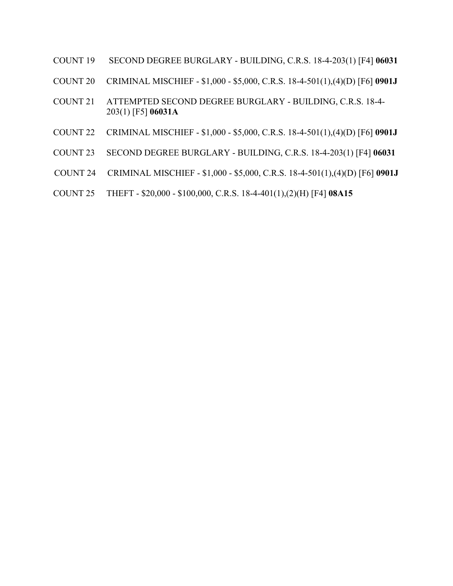- COUNT 19 .SECOND DEGREE BURGLARY BUILDING, C.R.S. 18-4-203(1) [F4] **06031**
- COUNT 20 CRIMINAL MISCHIEF \$1,000 \$5,000, C.R.S. 18-4-501(1),(4)(D) [F6] **0901J**
- COUNT 21 ATTEMPTED SECOND DEGREE BURGLARY BUILDING, C.R.S. 18-4- 203(1) [F5] **06031A**
- COUNT 22 CRIMINAL MISCHIEF \$1,000 \$5,000, C.R.S. 18-4-501(1),(4)(D) [F6] **0901J**
- COUNT 23 SECOND DEGREE BURGLARY BUILDING, C.R.S. 18-4-203(1) [F4] **06031**
- COUNT 24 CRIMINAL MISCHIEF \$1,000 \$5,000, C.R.S. 18-4-501(1),(4)(D) [F6] **0901J**
- COUNT 25 THEFT \$20,000 \$100,000, C.R.S. 18-4-401(1),(2)(H) [F4] **08A15**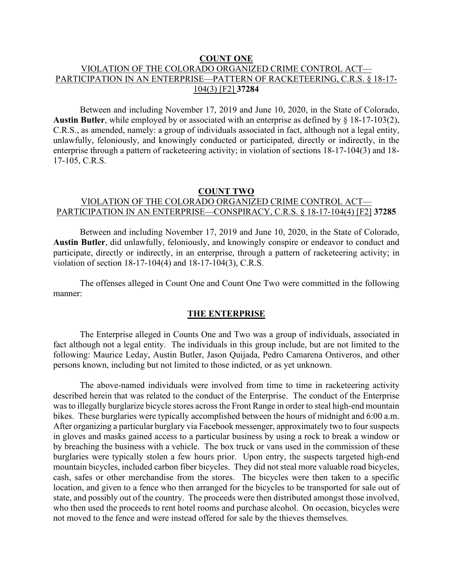#### **COUNT ONE**

## VIOLATION OF THE COLORADO ORGANIZED CRIME CONTROL ACT— PARTICIPATION IN AN ENTERPRISE—PATTERN OF RACKETEERING, C.R.S. § 18-17- 104(3) [F2] **37284**

Between and including November 17, 2019 and June 10, 2020, in the State of Colorado, **Austin Butler**, while employed by or associated with an enterprise as defined by § 18-17-103(2), C.R.S., as amended, namely: a group of individuals associated in fact, although not a legal entity, unlawfully, feloniously, and knowingly conducted or participated, directly or indirectly, in the enterprise through a pattern of racketeering activity; in violation of sections 18-17-104(3) and 18- 17-105, C.R.S.

### **COUNT TWO** VIOLATION OF THE COLORADO ORGANIZED CRIME CONTROL ACT— PARTICIPATION IN AN ENTERPRISE—CONSPIRACY, C.R.S. § 18-17-104(4) [F2] **37285**

Between and including November 17, 2019 and June 10, 2020, in the State of Colorado, **Austin Butler**, did unlawfully, feloniously, and knowingly conspire or endeavor to conduct and participate, directly or indirectly, in an enterprise, through a pattern of racketeering activity; in violation of section 18-17-104(4) and 18-17-104(3), C.R.S.

The offenses alleged in Count One and Count One Two were committed in the following manner:

### **THE ENTERPRISE**

The Enterprise alleged in Counts One and Two was a group of individuals, associated in fact although not a legal entity. The individuals in this group include, but are not limited to the following: Maurice Leday, Austin Butler, Jason Quijada, Pedro Camarena Ontiveros, and other persons known, including but not limited to those indicted, or as yet unknown.

The above-named individuals were involved from time to time in racketeering activity described herein that was related to the conduct of the Enterprise. The conduct of the Enterprise was to illegally burglarize bicycle stores across the Front Range in order to steal high-end mountain bikes. These burglaries were typically accomplished between the hours of midnight and 6:00 a.m. After organizing a particular burglary via Facebook messenger, approximately two to four suspects in gloves and masks gained access to a particular business by using a rock to break a window or by breaching the business with a vehicle. The box truck or vans used in the commission of these burglaries were typically stolen a few hours prior. Upon entry, the suspects targeted high-end mountain bicycles, included carbon fiber bicycles. They did not steal more valuable road bicycles, cash, safes or other merchandise from the stores. The bicycles were then taken to a specific location, and given to a fence who then arranged for the bicycles to be transported for sale out of state, and possibly out of the country. The proceeds were then distributed amongst those involved, who then used the proceeds to rent hotel rooms and purchase alcohol. On occasion, bicycles were not moved to the fence and were instead offered for sale by the thieves themselves.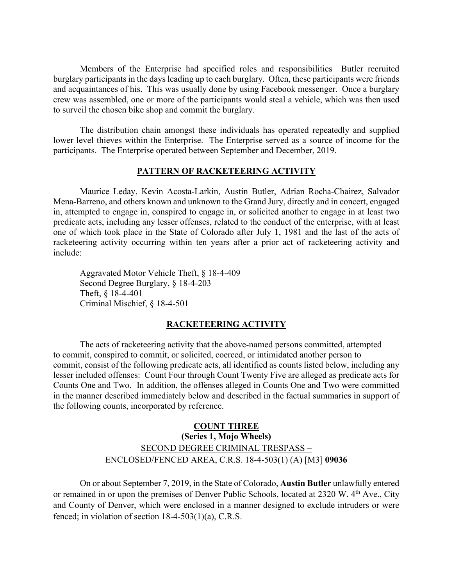Members of the Enterprise had specified roles and responsibilities Butler recruited burglary participants in the days leading up to each burglary. Often, these participants were friends and acquaintances of his. This was usually done by using Facebook messenger. Once a burglary crew was assembled, one or more of the participants would steal a vehicle, which was then used to surveil the chosen bike shop and commit the burglary.

The distribution chain amongst these individuals has operated repeatedly and supplied lower level thieves within the Enterprise. The Enterprise served as a source of income for the participants. The Enterprise operated between September and December, 2019.

## **PATTERN OF RACKETEERING ACTIVITY**

Maurice Leday, Kevin Acosta-Larkin, Austin Butler, Adrian Rocha-Chairez, Salvador Mena-Barreno, and others known and unknown to the Grand Jury, directly and in concert, engaged in, attempted to engage in, conspired to engage in, or solicited another to engage in at least two predicate acts, including any lesser offenses, related to the conduct of the enterprise, with at least one of which took place in the State of Colorado after July 1, 1981 and the last of the acts of racketeering activity occurring within ten years after a prior act of racketeering activity and include:

Aggravated Motor Vehicle Theft, § 18-4-409 Second Degree Burglary, § 18-4-203 Theft, § 18-4-401 Criminal Mischief, § 18-4-501

#### **RACKETEERING ACTIVITY**

The acts of racketeering activity that the above-named persons committed, attempted to commit, conspired to commit, or solicited, coerced, or intimidated another person to commit, consist of the following predicate acts, all identified as counts listed below, including any lesser included offenses: Count Four through Count Twenty Five are alleged as predicate acts for Counts One and Two. In addition, the offenses alleged in Counts One and Two were committed in the manner described immediately below and described in the factual summaries in support of the following counts, incorporated by reference.

# **COUNT THREE (Series 1, Mojo Wheels)** SECOND DEGREE CRIMINAL TRESPASS – ENCLOSED/FENCED AREA, C.R.S. 18-4-503(1) (A) [M3] **09036**

On or about September 7, 2019, in the State of Colorado, **Austin Butler** unlawfully entered or remained in or upon the premises of Denver Public Schools, located at 2320 W. 4<sup>th</sup> Ave., City and County of Denver, which were enclosed in a manner designed to exclude intruders or were fenced; in violation of section  $18-4-503(1)(a)$ , C.R.S.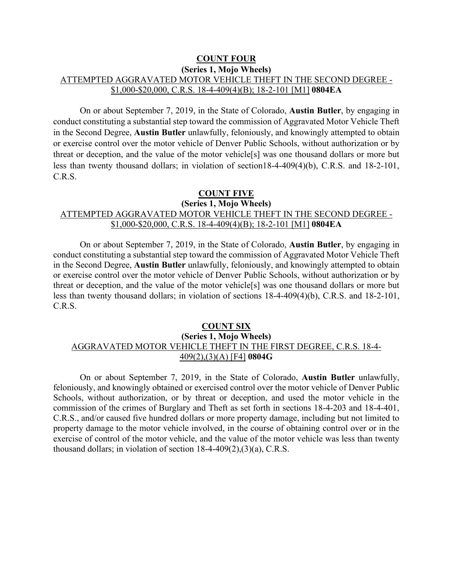## **COUNT FOUR (Series 1, Mojo Wheels)** ATTEMPTED AGGRAVATED MOTOR VEHICLE THEFT IN THE SECOND DEGREE - \$1,000-\$20,000, C.R.S. 18-4-409(4)(B); 18-2-101 [M1] **0804EA**

On or about September 7, 2019, in the State of Colorado, **Austin Butler**, by engaging in conduct constituting a substantial step toward the commission of Aggravated Motor Vehicle Theft in the Second Degree, **Austin Butler** unlawfully, feloniously, and knowingly attempted to obtain or exercise control over the motor vehicle of Denver Public Schools, without authorization or by threat or deception, and the value of the motor vehicle[s] was one thousand dollars or more but less than twenty thousand dollars; in violation of section18-4-409(4)(b), C.R.S. and 18-2-101, C.R.S.

#### **COUNT FIVE**

#### **(Series 1, Mojo Wheels)**

## ATTEMPTED AGGRAVATED MOTOR VEHICLE THEFT IN THE SECOND DEGREE - \$1,000-\$20,000, C.R.S. 18-4-409(4)(B); 18-2-101 [M1] **0804EA**

On or about September 7, 2019, in the State of Colorado, **Austin Butler**, by engaging in conduct constituting a substantial step toward the commission of Aggravated Motor Vehicle Theft in the Second Degree, **Austin Butler** unlawfully, feloniously, and knowingly attempted to obtain or exercise control over the motor vehicle of Denver Public Schools, without authorization or by threat or deception, and the value of the motor vehicle[s] was one thousand dollars or more but less than twenty thousand dollars; in violation of sections 18-4-409(4)(b), C.R.S. and 18-2-101, C.R.S.

#### **COUNT SIX**

### **(Series 1, Mojo Wheels)** AGGRAVATED MOTOR VEHICLE THEFT IN THE FIRST DEGREE, C.R.S. 18-4- 409(2),(3)(A) [F4] **0804G**

On or about September 7, 2019, in the State of Colorado, **Austin Butler** unlawfully, feloniously, and knowingly obtained or exercised control over the motor vehicle of Denver Public Schools, without authorization, or by threat or deception, and used the motor vehicle in the commission of the crimes of Burglary and Theft as set forth in sections 18-4-203 and 18-4-401, C.R.S., and/or caused five hundred dollars or more property damage, including but not limited to property damage to the motor vehicle involved, in the course of obtaining control over or in the exercise of control of the motor vehicle, and the value of the motor vehicle was less than twenty thousand dollars; in violation of section 18-4-409(2),(3)(a), C.R.S.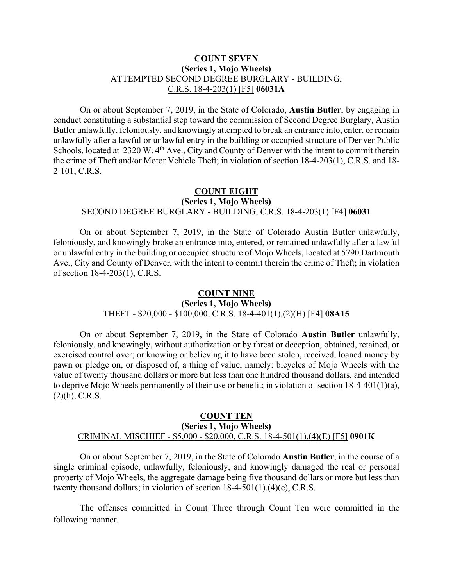### **COUNT SEVEN (Series 1, Mojo Wheels)** ATTEMPTED SECOND DEGREE BURGLARY - BUILDING, C.R.S. 18-4-203(1) [F5] **06031A**

On or about September 7, 2019, in the State of Colorado, **Austin Butler**, by engaging in conduct constituting a substantial step toward the commission of Second Degree Burglary, Austin Butler unlawfully, feloniously, and knowingly attempted to break an entrance into, enter, or remain unlawfully after a lawful or unlawful entry in the building or occupied structure of Denver Public Schools, located at 2320 W. 4<sup>th</sup> Ave., City and County of Denver with the intent to commit therein the crime of Theft and/or Motor Vehicle Theft; in violation of section 18-4-203(1), C.R.S. and 18- 2-101, C.R.S.

## **COUNT EIGHT (Series 1, Mojo Wheels)** SECOND DEGREE BURGLARY - BUILDING, C.R.S. 18-4-203(1) [F4] **06031**

On or about September 7, 2019, in the State of Colorado Austin Butler unlawfully, feloniously, and knowingly broke an entrance into, entered, or remained unlawfully after a lawful or unlawful entry in the building or occupied structure of Mojo Wheels, located at 5790 Dartmouth Ave., City and County of Denver, with the intent to commit therein the crime of Theft; in violation of section 18-4-203(1), C.R.S.

### **COUNT NINE (Series 1, Mojo Wheels)** THEFT - \$20,000 - \$100,000, C.R.S. 18-4-401(1),(2)(H) [F4] **08A15**

On or about September 7, 2019, in the State of Colorado **Austin Butler** unlawfully, feloniously, and knowingly, without authorization or by threat or deception, obtained, retained, or exercised control over; or knowing or believing it to have been stolen, received, loaned money by pawn or pledge on, or disposed of, a thing of value, namely: bicycles of Mojo Wheels with the value of twenty thousand dollars or more but less than one hundred thousand dollars, and intended to deprive Mojo Wheels permanently of their use or benefit; in violation of section  $18-4-401(1)(a)$ ,  $(2)(h)$ , C.R.S.

#### **COUNT TEN (Series 1, Mojo Wheels)** CRIMINAL MISCHIEF - \$5,000 - \$20,000, C.R.S. 18-4-501(1),(4)(E) [F5] **0901K**

On or about September 7, 2019, in the State of Colorado **Austin Butler**, in the course of a single criminal episode, unlawfully, feloniously, and knowingly damaged the real or personal property of Mojo Wheels, the aggregate damage being five thousand dollars or more but less than twenty thousand dollars; in violation of section 18-4-501(1),(4)(e), C.R.S.

The offenses committed in Count Three through Count Ten were committed in the following manner.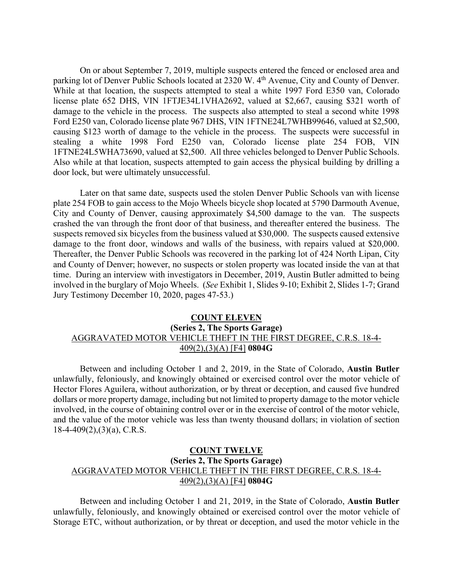On or about September 7, 2019, multiple suspects entered the fenced or enclosed area and parking lot of Denver Public Schools located at 2320 W. 4<sup>th</sup> Avenue, City and County of Denver. While at that location, the suspects attempted to steal a white 1997 Ford E350 van, Colorado license plate 652 DHS, VIN 1FTJE34L1VHA2692, valued at \$2,667, causing \$321 worth of damage to the vehicle in the process. The suspects also attempted to steal a second white 1998 Ford E250 van, Colorado license plate 967 DHS, VIN 1FTNE24L7WHB99646, valued at \$2,500, causing \$123 worth of damage to the vehicle in the process. The suspects were successful in stealing a white 1998 Ford E250 van, Colorado license plate 254 FOB, VIN 1FTNE24L5WHA73690, valued at \$2,500. All three vehicles belonged to Denver Public Schools. Also while at that location, suspects attempted to gain access the physical building by drilling a door lock, but were ultimately unsuccessful.

Later on that same date, suspects used the stolen Denver Public Schools van with license plate 254 FOB to gain access to the Mojo Wheels bicycle shop located at 5790 Darmouth Avenue, City and County of Denver, causing approximately \$4,500 damage to the van. The suspects crashed the van through the front door of that business, and thereafter entered the business. The suspects removed six bicycles from the business valued at \$30,000. The suspects caused extensive damage to the front door, windows and walls of the business, with repairs valued at \$20,000. Thereafter, the Denver Public Schools was recovered in the parking lot of 424 North Lipan, City and County of Denver; however, no suspects or stolen property was located inside the van at that time. During an interview with investigators in December, 2019, Austin Butler admitted to being involved in the burglary of Mojo Wheels. (*See* Exhibit 1, Slides 9-10; Exhibit 2, Slides 1-7; Grand Jury Testimony December 10, 2020, pages 47-53.)

## **COUNT ELEVEN (Series 2, The Sports Garage)** AGGRAVATED MOTOR VEHICLE THEFT IN THE FIRST DEGREE, C.R.S. 18-4- 409(2),(3)(A) [F4] **0804G**

Between and including October 1 and 2, 2019, in the State of Colorado, **Austin Butler** unlawfully, feloniously, and knowingly obtained or exercised control over the motor vehicle of Hector Flores Aguilera, without authorization, or by threat or deception, and caused five hundred dollars or more property damage, including but not limited to property damage to the motor vehicle involved, in the course of obtaining control over or in the exercise of control of the motor vehicle, and the value of the motor vehicle was less than twenty thousand dollars; in violation of section  $18-4-409(2),(3)(a)$ , C.R.S.

## **COUNT TWELVE (Series 2, The Sports Garage)** AGGRAVATED MOTOR VEHICLE THEFT IN THE FIRST DEGREE, C.R.S. 18-4- 409(2),(3)(A) [F4] **0804G**

Between and including October 1 and 21, 2019, in the State of Colorado, **Austin Butler** unlawfully, feloniously, and knowingly obtained or exercised control over the motor vehicle of Storage ETC, without authorization, or by threat or deception, and used the motor vehicle in the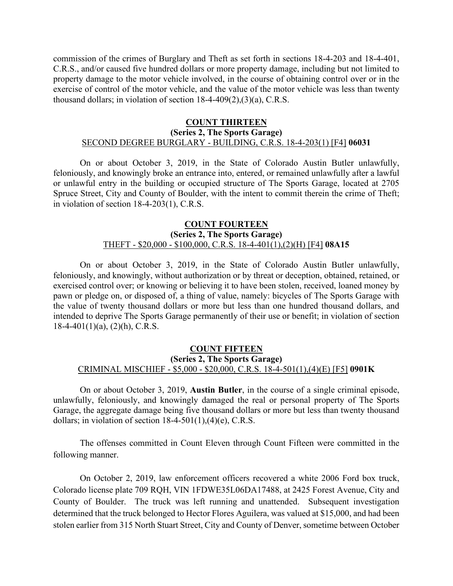commission of the crimes of Burglary and Theft as set forth in sections 18-4-203 and 18-4-401, C.R.S., and/or caused five hundred dollars or more property damage, including but not limited to property damage to the motor vehicle involved, in the course of obtaining control over or in the exercise of control of the motor vehicle, and the value of the motor vehicle was less than twenty thousand dollars; in violation of section 18-4-409(2),(3)(a), C.R.S.

#### **COUNT THIRTEEN (Series 2, The Sports Garage)** SECOND DEGREE BURGLARY - BUILDING, C.R.S. 18-4-203(1) [F4] **06031**

On or about October 3, 2019, in the State of Colorado Austin Butler unlawfully, feloniously, and knowingly broke an entrance into, entered, or remained unlawfully after a lawful or unlawful entry in the building or occupied structure of The Sports Garage, located at 2705 Spruce Street, City and County of Boulder, with the intent to commit therein the crime of Theft; in violation of section 18-4-203(1), C.R.S.

### **COUNT FOURTEEN (Series 2, The Sports Garage)** THEFT - \$20,000 - \$100,000, C.R.S. 18-4-401(1),(2)(H) [F4] **08A15**

On or about October 3, 2019, in the State of Colorado Austin Butler unlawfully, feloniously, and knowingly, without authorization or by threat or deception, obtained, retained, or exercised control over; or knowing or believing it to have been stolen, received, loaned money by pawn or pledge on, or disposed of, a thing of value, namely: bicycles of The Sports Garage with the value of twenty thousand dollars or more but less than one hundred thousand dollars, and intended to deprive The Sports Garage permanently of their use or benefit; in violation of section  $18-4-401(1)(a)$ ,  $(2)(h)$ , C.R.S.

### **COUNT FIFTEEN (Series 2, The Sports Garage)** CRIMINAL MISCHIEF - \$5,000 - \$20,000, C.R.S. 18-4-501(1),(4)(E) [F5] **0901K**

On or about October 3, 2019, **Austin Butler**, in the course of a single criminal episode, unlawfully, feloniously, and knowingly damaged the real or personal property of The Sports Garage, the aggregate damage being five thousand dollars or more but less than twenty thousand dollars; in violation of section  $18-4-501(1)$ , (4)(e), C.R.S.

The offenses committed in Count Eleven through Count Fifteen were committed in the following manner.

On October 2, 2019, law enforcement officers recovered a white 2006 Ford box truck, Colorado license plate 709 RQH, VIN 1FDWE35L06DA17488, at 2425 Forest Avenue, City and County of Boulder. The truck was left running and unattended. Subsequent investigation determined that the truck belonged to Hector Flores Aguilera, was valued at \$15,000, and had been stolen earlier from 315 North Stuart Street, City and County of Denver, sometime between October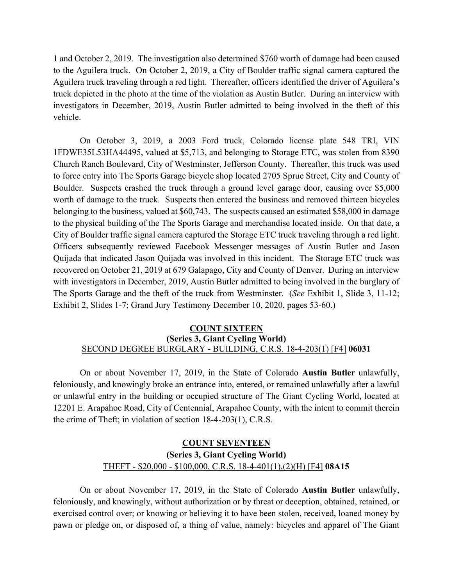1 and October 2, 2019. The investigation also determined \$760 worth of damage had been caused to the Aguilera truck. On October 2, 2019, a City of Boulder traffic signal camera captured the Aguilera truck traveling through a red light. Thereafter, officers identified the driver of Aguilera's truck depicted in the photo at the time of the violation as Austin Butler. During an interview with investigators in December, 2019, Austin Butler admitted to being involved in the theft of this vehicle.

On October 3, 2019, a 2003 Ford truck, Colorado license plate 548 TRI, VIN 1FDWE35L53HA44495, valued at \$5,713, and belonging to Storage ETC, was stolen from 8390 Church Ranch Boulevard, City of Westminster, Jefferson County. Thereafter, this truck was used to force entry into The Sports Garage bicycle shop located 2705 Sprue Street, City and County of Boulder. Suspects crashed the truck through a ground level garage door, causing over \$5,000 worth of damage to the truck. Suspects then entered the business and removed thirteen bicycles belonging to the business, valued at \$60,743. The suspects caused an estimated \$58,000 in damage to the physical building of the The Sports Garage and merchandise located inside. On that date, a City of Boulder traffic signal camera captured the Storage ETC truck traveling through a red light. Officers subsequently reviewed Facebook Messenger messages of Austin Butler and Jason Quijada that indicated Jason Quijada was involved in this incident. The Storage ETC truck was recovered on October 21, 2019 at 679 Galapago, City and County of Denver. During an interview with investigators in December, 2019, Austin Butler admitted to being involved in the burglary of The Sports Garage and the theft of the truck from Westminster. (*See* Exhibit 1, Slide 3, 11-12; Exhibit 2, Slides 1-7; Grand Jury Testimony December 10, 2020, pages 53-60.)

#### **COUNT SIXTEEN (Series 3, Giant Cycling World)** SECOND DEGREE BURGLARY - BUILDING, C.R.S. 18-4-203(1) [F4] **06031**

On or about November 17, 2019, in the State of Colorado **Austin Butler** unlawfully, feloniously, and knowingly broke an entrance into, entered, or remained unlawfully after a lawful or unlawful entry in the building or occupied structure of The Giant Cycling World, located at 12201 E. Arapahoe Road, City of Centennial, Arapahoe County, with the intent to commit therein the crime of Theft; in violation of section 18-4-203(1), C.R.S.

# **COUNT SEVENTEEN (Series 3, Giant Cycling World)** THEFT - \$20,000 - \$100,000, C.R.S. 18-4-401(1),(2)(H) [F4] **08A15**

On or about November 17, 2019, in the State of Colorado **Austin Butler** unlawfully, feloniously, and knowingly, without authorization or by threat or deception, obtained, retained, or exercised control over; or knowing or believing it to have been stolen, received, loaned money by pawn or pledge on, or disposed of, a thing of value, namely: bicycles and apparel of The Giant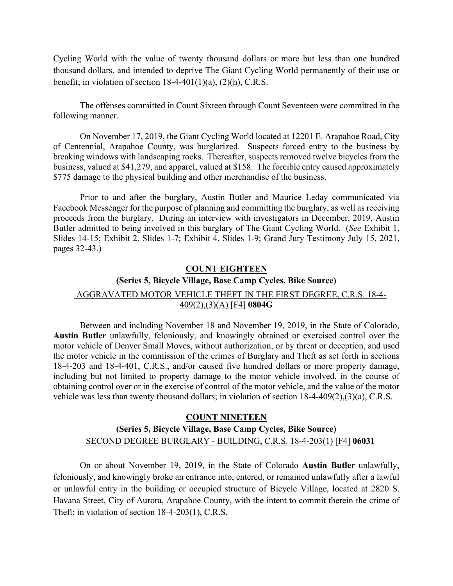Cycling World with the value of twenty thousand dollars or more but less than one hundred thousand dollars, and intended to deprive The Giant Cycling World permanently of their use or benefit; in violation of section  $18-4-401(1)(a)$ ,  $(2)(h)$ , C.R.S.

The offenses committed in Count Sixteen through Count Seventeen were committed in the following manner.

On November 17, 2019, the Giant Cycling World located at 12201 E. Arapahoe Road, City of Centennial, Arapahoe County, was burglarized. Suspects forced entry to the business by breaking windows with landscaping rocks. Thereafter, suspects removed twelve bicycles from the business, valued at \$41,279, and apparel, valued at \$158. The forcible entry caused approximately \$775 damage to the physical building and other merchandise of the business.

Prior to and after the burglary, Austin Butler and Maurice Leday communicated via Facebook Messenger for the purpose of planning and committing the burglary, as well as receiving proceeds from the burglary. During an interview with investigators in December, 2019, Austin Butler admitted to being involved in this burglary of The Giant Cycling World. (*See* Exhibit 1, Slides 14-15; Exhibit 2, Slides 1-7; Exhibit 4, Slides 1-9; Grand Jury Testimony July 15, 2021, pages 32-43.)

#### **COUNT EIGHTEEN**

# **(Series 5, Bicycle Village, Base Camp Cycles, Bike Source)** AGGRAVATED MOTOR VEHICLE THEFT IN THE FIRST DEGREE, C.R.S. 18-4-409(2),(3)(A) [F4] **0804G**

Between and including November 18 and November 19, 2019, in the State of Colorado, **Austin Butler** unlawfully, feloniously, and knowingly obtained or exercised control over the motor vehicle of Denver Small Moves, without authorization, or by threat or deception, and used the motor vehicle in the commission of the crimes of Burglary and Theft as set forth in sections 18-4-203 and 18-4-401, C.R.S., and/or caused five hundred dollars or more property damage, including but not limited to property damage to the motor vehicle involved, in the course of obtaining control over or in the exercise of control of the motor vehicle, and the value of the motor vehicle was less than twenty thousand dollars; in violation of section 18-4-409(2),(3)(a), C.R.S.

# **COUNT NINETEEN (Series 5, Bicycle Village, Base Camp Cycles, Bike Source)** r. SECOND DEGREE BURGLARY - BUILDING, C.R.S. 18-4-203(1) [F4] **06031**

On or about November 19, 2019, in the State of Colorado **Austin Butler** unlawfully, feloniously, and knowingly broke an entrance into, entered, or remained unlawfully after a lawful or unlawful entry in the building or occupied structure of Bicycle Village, located at 2820 S. Havana Street, City of Aurora, Arapahoe County, with the intent to commit therein the crime of Theft; in violation of section 18-4-203(1), C.R.S.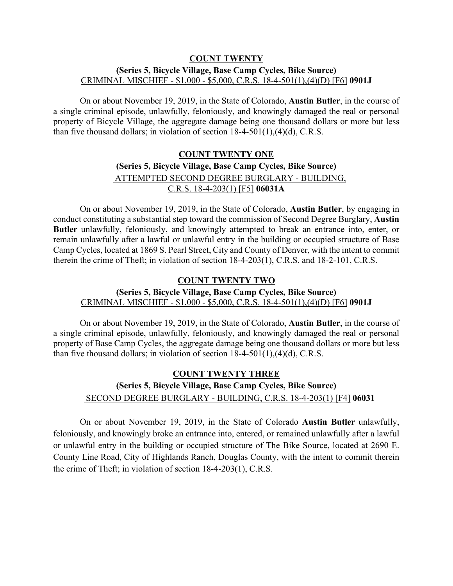#### **COUNT TWENTY**

### **(Series 5, Bicycle Village, Base Camp Cycles, Bike Source)** CRIMINAL MISCHIEF - \$1,000 - \$5,000, C.R.S. 18-4-501(1),(4)(D) [F6] **0901J**

On or about November 19, 2019, in the State of Colorado, **Austin Butler**, in the course of a single criminal episode, unlawfully, feloniously, and knowingly damaged the real or personal property of Bicycle Village, the aggregate damage being one thousand dollars or more but less than five thousand dollars; in violation of section 18-4-501(1),(4)(d), C.R.S.

# **COUNT TWENTY ONE (Series 5, Bicycle Village, Base Camp Cycles, Bike Source)** r. ATTEMPTED SECOND DEGREE BURGLARY - BUILDING, C.R.S. 18-4-203(1) [F5] **06031A**

On or about November 19, 2019, in the State of Colorado, **Austin Butler**, by engaging in conduct constituting a substantial step toward the commission of Second Degree Burglary, **Austin Butler** unlawfully, feloniously, and knowingly attempted to break an entrance into, enter, or remain unlawfully after a lawful or unlawful entry in the building or occupied structure of Base Camp Cycles, located at 1869 S. Pearl Street, City and County of Denver, with the intent to commit therein the crime of Theft; in violation of section 18-4-203(1), C.R.S. and 18-2-101, C.R.S.

## **COUNT TWENTY TWO**

## **(Series 5, Bicycle Village, Base Camp Cycles, Bike Source)** CRIMINAL MISCHIEF - \$1,000 - \$5,000, C.R.S. 18-4-501(1),(4)(D) [F6] **0901J**

On or about November 19, 2019, in the State of Colorado, **Austin Butler**, in the course of a single criminal episode, unlawfully, feloniously, and knowingly damaged the real or personal property of Base Camp Cycles, the aggregate damage being one thousand dollars or more but less than five thousand dollars; in violation of section 18-4-501(1),(4)(d), C.R.S.

# **COUNT TWENTY THREE (Series 5, Bicycle Village, Base Camp Cycles, Bike Source)** r. SECOND DEGREE BURGLARY - BUILDING, C.R.S. 18-4-203(1) [F4] **06031**

On or about November 19, 2019, in the State of Colorado **Austin Butler** unlawfully, feloniously, and knowingly broke an entrance into, entered, or remained unlawfully after a lawful or unlawful entry in the building or occupied structure of The Bike Source, located at 2690 E. County Line Road, City of Highlands Ranch, Douglas County, with the intent to commit therein the crime of Theft; in violation of section 18-4-203(1), C.R.S.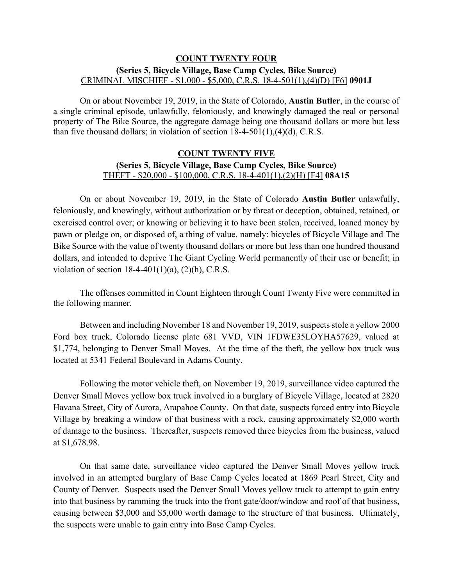## **COUNT TWENTY FOUR (Series 5, Bicycle Village, Base Camp Cycles, Bike Source)** CRIMINAL MISCHIEF - \$1,000 - \$5,000, C.R.S. 18-4-501(1),(4)(D) [F6] **0901J**

On or about November 19, 2019, in the State of Colorado, **Austin Butler**, in the course of a single criminal episode, unlawfully, feloniously, and knowingly damaged the real or personal property of The Bike Source, the aggregate damage being one thousand dollars or more but less than five thousand dollars; in violation of section  $18-4-501(1)$ ,  $(4)(d)$ , C.R.S.

## **COUNT TWENTY FIVE (Series 5, Bicycle Village, Base Camp Cycles, Bike Source)** THEFT - \$20,000 - \$100,000, C.R.S. 18-4-401(1),(2)(H) [F4] **08A15**

On or about November 19, 2019, in the State of Colorado **Austin Butler** unlawfully, feloniously, and knowingly, without authorization or by threat or deception, obtained, retained, or exercised control over; or knowing or believing it to have been stolen, received, loaned money by pawn or pledge on, or disposed of, a thing of value, namely: bicycles of Bicycle Village and The Bike Source with the value of twenty thousand dollars or more but less than one hundred thousand dollars, and intended to deprive The Giant Cycling World permanently of their use or benefit; in violation of section  $18-4-401(1)(a)$ ,  $(2)(h)$ , C.R.S.

The offenses committed in Count Eighteen through Count Twenty Five were committed in the following manner.

Between and including November 18 and November 19, 2019, suspects stole a yellow 2000 Ford box truck, Colorado license plate 681 VVD, VIN 1FDWE35LOYHA57629, valued at \$1,774, belonging to Denver Small Moves. At the time of the theft, the yellow box truck was located at 5341 Federal Boulevard in Adams County.

Following the motor vehicle theft, on November 19, 2019, surveillance video captured the Denver Small Moves yellow box truck involved in a burglary of Bicycle Village, located at 2820 Havana Street, City of Aurora, Arapahoe County. On that date, suspects forced entry into Bicycle Village by breaking a window of that business with a rock, causing approximately \$2,000 worth of damage to the business. Thereafter, suspects removed three bicycles from the business, valued at \$1,678.98.

On that same date, surveillance video captured the Denver Small Moves yellow truck involved in an attempted burglary of Base Camp Cycles located at 1869 Pearl Street, City and County of Denver. Suspects used the Denver Small Moves yellow truck to attempt to gain entry into that business by ramming the truck into the front gate/door/window and roof of that business, causing between \$3,000 and \$5,000 worth damage to the structure of that business. Ultimately, the suspects were unable to gain entry into Base Camp Cycles.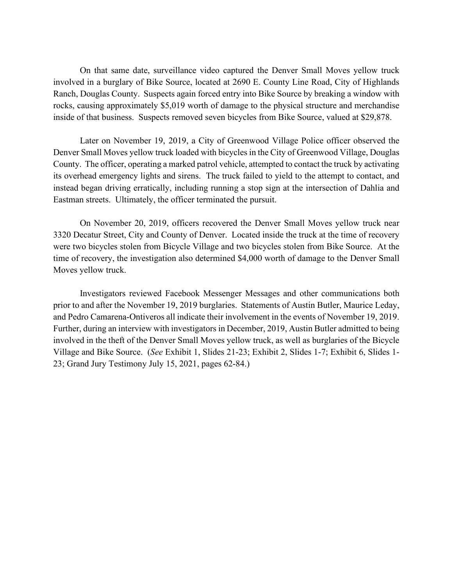On that same date, surveillance video captured the Denver Small Moves yellow truck involved in a burglary of Bike Source, located at 2690 E. County Line Road, City of Highlands Ranch, Douglas County. Suspects again forced entry into Bike Source by breaking a window with rocks, causing approximately \$5,019 worth of damage to the physical structure and merchandise inside of that business. Suspects removed seven bicycles from Bike Source, valued at \$29,878.

Later on November 19, 2019, a City of Greenwood Village Police officer observed the Denver Small Moves yellow truck loaded with bicycles in the City of Greenwood Village, Douglas County. The officer, operating a marked patrol vehicle, attempted to contact the truck by activating its overhead emergency lights and sirens. The truck failed to yield to the attempt to contact, and instead began driving erratically, including running a stop sign at the intersection of Dahlia and Eastman streets. Ultimately, the officer terminated the pursuit.

On November 20, 2019, officers recovered the Denver Small Moves yellow truck near 3320 Decatur Street, City and County of Denver. Located inside the truck at the time of recovery were two bicycles stolen from Bicycle Village and two bicycles stolen from Bike Source. At the time of recovery, the investigation also determined \$4,000 worth of damage to the Denver Small Moves yellow truck.

Investigators reviewed Facebook Messenger Messages and other communications both prior to and after the November 19, 2019 burglaries. Statements of Austin Butler, Maurice Leday, and Pedro Camarena-Ontiveros all indicate their involvement in the events of November 19, 2019. Further, during an interview with investigators in December, 2019, Austin Butler admitted to being involved in the theft of the Denver Small Moves yellow truck, as well as burglaries of the Bicycle Village and Bike Source. (*See* Exhibit 1, Slides 21-23; Exhibit 2, Slides 1-7; Exhibit 6, Slides 1- 23; Grand Jury Testimony July 15, 2021, pages 62-84.)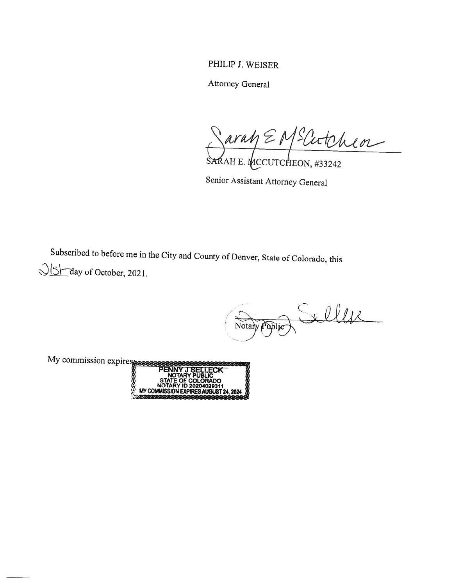PHILIP J. WEISER

Attorney General

Parah E M Elitchen

Senior Assistant Attorney General

Subscribed to before me in the City and County of Denver, State of Colorado, this  $\sqrt{\frac{S}{S}}$  day of October, 2021.

Notary Public

My commission expires